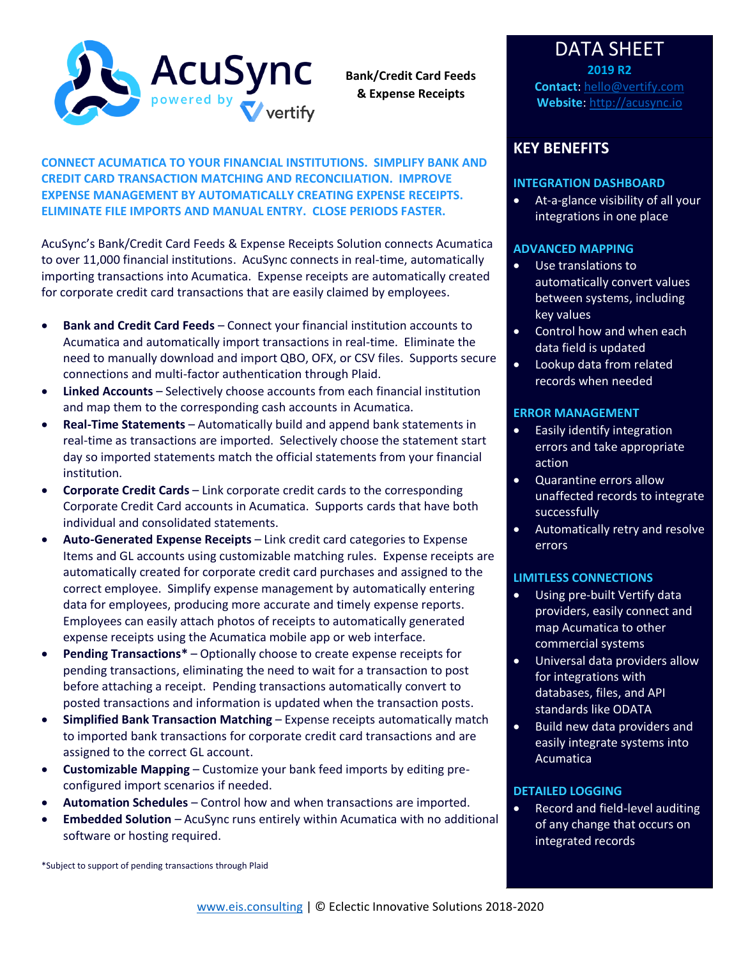

**Bank/Credit Card Feeds & Expense Receipts**

**CONNECT ACUMATICA TO YOUR FINANCIAL INSTITUTIONS. SIMPLIFY BANK AND CREDIT CARD TRANSACTION MATCHING AND RECONCILIATION. IMPROVE EXPENSE MANAGEMENT BY AUTOMATICALLY CREATING EXPENSE RECEIPTS. ELIMINATE FILE IMPORTS AND MANUAL ENTRY. CLOSE PERIODS FASTER.**

AcuSync's Bank/Credit Card Feeds & Expense Receipts Solution connects Acumatica to over 11,000 financial institutions. AcuSync connects in real-time, automatically importing transactions into Acumatica. Expense receipts are automatically created for corporate credit card transactions that are easily claimed by employees.

- **Bank and Credit Card Feeds** Connect your financial institution accounts to Acumatica and automatically import transactions in real-time. Eliminate the need to manually download and import QBO, OFX, or CSV files. Supports secure connections and multi-factor authentication through Plaid.
- **Linked Accounts** Selectively choose accounts from each financial institution and map them to the corresponding cash accounts in Acumatica.
- **Real-Time Statements** Automatically build and append bank statements in real-time as transactions are imported. Selectively choose the statement start day so imported statements match the official statements from your financial institution.
- **Corporate Credit Cards** Link corporate credit cards to the corresponding Corporate Credit Card accounts in Acumatica. Supports cards that have both individual and consolidated statements.
- **Auto-Generated Expense Receipts** Link credit card categories to Expense Items and GL accounts using customizable matching rules. Expense receipts are automatically created for corporate credit card purchases and assigned to the correct employee. Simplify expense management by automatically entering data for employees, producing more accurate and timely expense reports. Employees can easily attach photos of receipts to automatically generated expense receipts using the Acumatica mobile app or web interface.
- **Pending Transactions\*** Optionally choose to create expense receipts for pending transactions, eliminating the need to wait for a transaction to post before attaching a receipt. Pending transactions automatically convert to posted transactions and information is updated when the transaction posts.
- **Simplified Bank Transaction Matching**  Expense receipts automatically match to imported bank transactions for corporate credit card transactions and are assigned to the correct GL account.
- **Customizable Mapping**  Customize your bank feed imports by editing preconfigured import scenarios if needed.
- **Automation Schedules**  Control how and when transactions are imported.
- **Embedded Solution**  AcuSync runs entirely within Acumatica with no additional software or hosting required.

\*Subject to support of pending transactions through Plaid

## DATA SHEET **2019 R2**

**Contact**: [hello@vertify.com](mailto:hello@vertify.com) **Website**: [http://acusync.io](http://acusync.io/)

## **KEY BENEFITS**

#### **INTEGRATION DASHBOARD**

• At-a-glance visibility of all your integrations in one place

#### **ADVANCED MAPPING**

- Use translations to automatically convert values between systems, including key values
- Control how and when each data field is updated
- Lookup data from related records when needed

### **ERROR MANAGEMENT**

- Easily identify integration errors and take appropriate action
- Quarantine errors allow unaffected records to integrate successfully
- Automatically retry and resolve errors

#### **LIMITLESS CONNECTIONS**

- Using pre-built Vertify data providers, easily connect and map Acumatica to other commercial systems
- Universal data providers allow for integrations with databases, files, and API standards like ODATA
- Build new data providers and easily integrate systems into Acumatica

### **DETAILED LOGGING**

• Record and field-level auditing of any change that occurs on integrated records